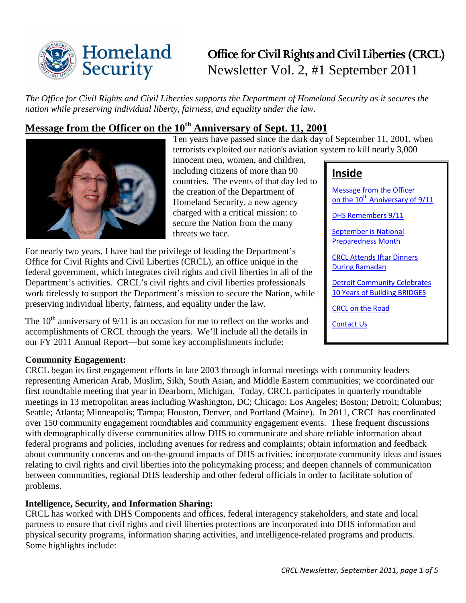

# **Office for Civil Rights and Civil Liberties (CRCL)** Newsletter Vol. 2, #1 September 2011

*The Office for Civil Rights and Civil Liberties supports the Department of Homeland Security as it secures the nation while preserving individual liberty, fairness, and equality under the law.*

# <span id="page-0-0"></span>**Message from the Officer on the 10th Anniversary of Sept. 11, 2001**



Ten years have passed since the dark day of September 11, 2001, when terrorists exploited our nation's aviation system to kill nearly 3,000 innocent men, women, and children,

including citizens of more than 90 countries. The events of that day led to the creation of the Department of Homeland Security, a new agency charged with a critical mission: to secure the Nation from the many threats we face.

For nearly two years, I have had the privilege of leading the Department's Office for Civil Rights and Civil Liberties (CRCL), an office unique in the federal government, which integrates civil rights and civil liberties in all of the Department's activities. CRCL's civil rights and civil liberties professionals work tirelessly to support the Department's mission to secure the Nation, while preserving individual liberty, fairness, and equality under the law.

The  $10<sup>th</sup>$  anniversary of 9/11 is an occasion for me to reflect on the works and accomplishments of CRCL through the years. We'll include all the details in our FY 2011 Annual Report—but some key accomplishments include:

# **Inside**

[Message from the Officer](#page-0-0)  on the  $10^{th}$  Anniversary of  $9/11$ 

[DHS Remembers 9/11](#page-2-0)

[September is National](#page-2-1)  [Preparedness Month](#page-2-1)

[CRCL Attends Iftar Dinners](#page-3-0)  [During Ramadan](#page-3-0)

[Detroit Community Celebrates](#page-3-1)  [10 Years of Building BRIDGES](#page-3-1)

[CRCL on the Road](#page-3-2)

[Contact Us](#page-4-0)

#### **Community Engagement:**

CRCL began its first engagement efforts in late 2003 through informal meetings with community leaders representing American Arab, Muslim, Sikh, South Asian, and Middle Eastern communities; we coordinated our first roundtable meeting that year in Dearborn, Michigan. Today, CRCL participates in quarterly roundtable meetings in 13 metropolitan areas including Washington, DC; Chicago; Los Angeles; Boston; Detroit; Columbus; Seattle; Atlanta; Minneapolis; Tampa; Houston, Denver, and Portland (Maine). In 2011, CRCL has coordinated over 150 community engagement roundtables and community engagement events. These frequent discussions with demographically diverse communities allow DHS to communicate and share reliable information about federal programs and policies, including avenues for redress and complaints; obtain information and feedback about community concerns and on-the-ground impacts of DHS activities; incorporate community ideas and issues relating to civil rights and civil liberties into the policymaking process; and deepen channels of communication between communities, regional DHS leadership and other federal officials in order to facilitate solution of problems.

#### **Intelligence, Security, and Information Sharing:**

CRCL has worked with DHS Components and offices, federal interagency stakeholders, and state and local partners to ensure that civil rights and civil liberties protections are incorporated into DHS information and physical security programs, information sharing activities, and intelligence-related programs and products. Some highlights include: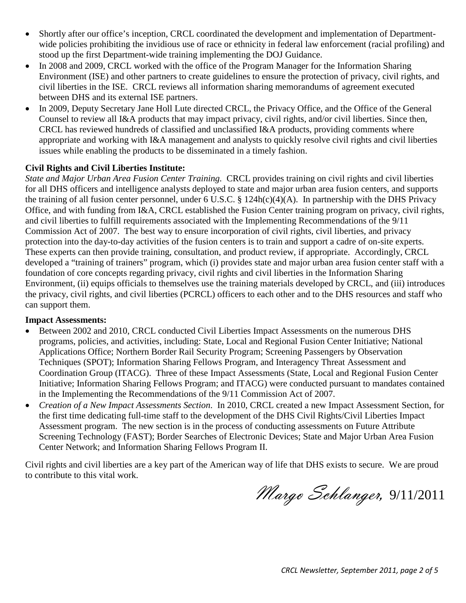- Shortly after our office's inception, CRCL coordinated the development and implementation of Departmentwide policies prohibiting the invidious use of race or ethnicity in federal law enforcement (racial profiling) and stood up the first Department-wide training implementing the DOJ Guidance.
- In 2008 and 2009, CRCL worked with the office of the Program Manager for the Information Sharing Environment (ISE) and other partners to create guidelines to ensure the protection of privacy, civil rights, and civil liberties in the ISE. CRCL reviews all information sharing memorandums of agreement executed between DHS and its external ISE partners.
- In 2009, Deputy Secretary Jane Holl Lute directed CRCL, the Privacy Office, and the Office of the General Counsel to review all I&A products that may impact privacy, civil rights, and/or civil liberties. Since then, CRCL has reviewed hundreds of classified and unclassified I&A products, providing comments where appropriate and working with I&A management and analysts to quickly resolve civil rights and civil liberties issues while enabling the products to be disseminated in a timely fashion.

#### **Civil Rights and Civil Liberties Institute:**

*State and Major Urban Area Fusion Center Training.* CRCL provides training on civil rights and civil liberties for all DHS officers and intelligence analysts deployed to state and major urban area fusion centers, and supports the training of all fusion center personnel, under 6 U.S.C. § 124h(c)(4)(A). In partnership with the DHS Privacy Office, and with funding from I&A, CRCL established the Fusion Center training program on privacy, civil rights, and civil liberties to fulfill requirements associated with the Implementing Recommendations of the 9/11 Commission Act of 2007. The best way to ensure incorporation of civil rights, civil liberties, and privacy protection into the day-to-day activities of the fusion centers is to train and support a cadre of on-site experts. These experts can then provide training, consultation, and product review, if appropriate. Accordingly, CRCL developed a "training of trainers" program, which (i) provides state and major urban area fusion center staff with a foundation of core concepts regarding privacy, civil rights and civil liberties in the Information Sharing Environment, (ii) equips officials to themselves use the training materials developed by CRCL, and (iii) introduces the privacy, civil rights, and civil liberties (PCRCL) officers to each other and to the DHS resources and staff who can support them.

#### **Impact Assessments:**

- Between 2002 and 2010, CRCL conducted Civil Liberties Impact Assessments on the numerous DHS programs, policies, and activities, including: State, Local and Regional Fusion Center Initiative; National Applications Office; Northern Border Rail Security Program; Screening Passengers by Observation Techniques (SPOT); Information Sharing Fellows Program, and Interagency Threat Assessment and Coordination Group (ITACG). Three of these Impact Assessments (State, Local and Regional Fusion Center Initiative; Information Sharing Fellows Program; and ITACG) were conducted pursuant to mandates contained in the Implementing the Recommendations of the 9/11 Commission Act of 2007.
- *Creation of a New Impact Assessments Section*. In 2010, CRCL created a new Impact Assessment Section, for the first time dedicating full-time staff to the development of the DHS Civil Rights/Civil Liberties Impact Assessment program. The new section is in the process of conducting assessments on Future Attribute Screening Technology (FAST); Border Searches of Electronic Devices; State and Major Urban Area Fusion Center Network; and Information Sharing Fellows Program II.

Civil rights and civil liberties are a key part of the American way of life that DHS exists to secure. We are proud to contribute to this vital work.

Margo Schlanger, 9/11/2011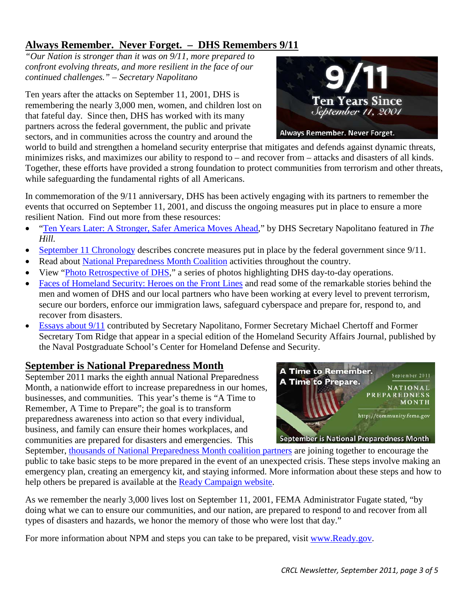# <span id="page-2-0"></span>**Always Remember. Never Forget. – DHS Remembers 9/11**

*"Our Nation is stronger than it was on 9/11, more prepared to confront evolving threats, and more resilient in the face of our continued challenges." – Secretary Napolitano*

Ten years after the attacks on September 11, 2001, DHS is remembering the nearly 3,000 men, women, and children lost on that fateful day. Since then, DHS has worked with its many partners across the federal government, the public and private sectors, and in communities across the country and around the



world to build and strengthen a homeland security enterprise that mitigates and defends against dynamic threats, minimizes risks, and maximizes our ability to respond to – and recover from – attacks and disasters of all kinds. Together, these efforts have provided a strong foundation to protect communities from terrorism and other threats, while safeguarding the fundamental rights of all Americans.

In commemoration of the 9/11 anniversary, DHS has been actively engaging with its partners to remember the events that occurred on September 11, 2001, and discuss the ongoing measures put in place to ensure a more resilient Nation. Find out more from these resources:

- ["Ten Years Later: A Stronger, Safer America Moves Ahead,](http://thehill.com/special-reports/911-ten-years-later-september-2011/180071-ten-years-later-a-stronger-safer-america-moves-ahead)" by DHS Secretary Napolitano featured in *The Hill.*
- [September 11 Chronology](http://www.dhs.gov/files/publications/september-11-chronology.shtm) describes concrete measures put in place by the federal government since 9/11.
- Read about [National Preparedness Month Coalition](http://community.fema.gov/connect.ti/READYNPM) activities throughout the country.
- View ["Photo Retrospective of DHS,](http://www.dhs.gov/xabout/history/photo-retrospective-of-dhs-since-9-11.shtm)" a series of photos highlighting DHS day-to-day operations.
- [Faces of Homeland Security: Heroes on the Front Lines](http://www.dhs.gov/xabout/faces-of-homeland-security.shtm) and read some of the remarkable stories behind the men and women of DHS and our local partners who have been working at every level to prevent terrorism, secure our borders, enforce our immigration laws, safeguard cyberspace and prepare for, respond to, and recover from disasters.
- [Essays about 9/11](http://www.hsaj.org/) contributed by Secretary Napolitano, Former Secretary Michael Chertoff and Former Secretary Tom Ridge that appear in a special edition of the Homeland Security Affairs Journal, published by the Naval Postgraduate School's Center for Homeland Defense and Security.

# <span id="page-2-1"></span>**September is National Preparedness Month**

September 2011 marks the eighth annual National Preparedness Month, a nationwide effort to increase preparedness in our homes, businesses, and communities. This year's theme is "A Time to Remember, A Time to Prepare"; the goal is to transform preparedness awareness into action so that every individual, business, and family can ensure their homes workplaces, and communities are prepared for disasters and emergencies. This



September, [thousands of National Preparedness Month coalition partners](http://community.fema.gov/connect.ti/READYNPM/view?objectId=109188&expa=exp&expf=109188&expl=1) are joining together to encourage the public to take basic steps to be more prepared in the event of an unexpected crisis. These steps involve making an emergency plan, creating an emergency kit, and staying informed. More information about these steps and how to help others be prepared is available at the [Ready Campaign website.](http://www.ready.gov/)

As we remember the nearly 3,000 lives lost on September 11, 2001, FEMA Administrator Fugate stated, "by doing what we can to ensure our communities, and our nation, are prepared to respond to and recover from all types of disasters and hazards, we honor the memory of those who were lost that day."

For more information about NPM and steps you can take to be prepared, visit [www.Ready.gov.](http://www.ready.gov/)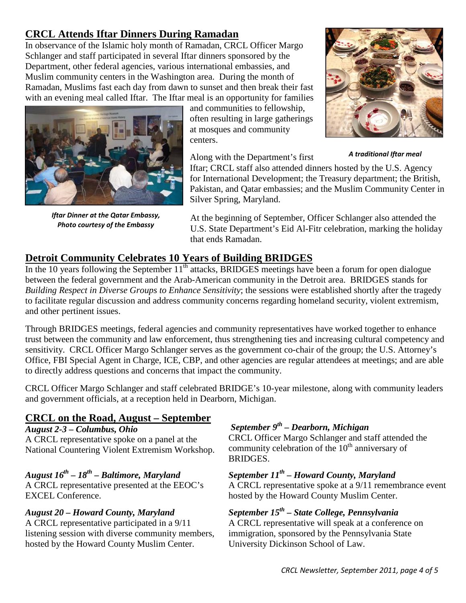# <span id="page-3-0"></span>**CRCL Attends Iftar Dinners During Ramadan**

In observance of the Islamic holy month of Ramadan, CRCL Officer Margo Schlanger and staff participated in several Iftar dinners sponsored by the Department, other federal agencies, various international embassies, and Muslim community centers in the Washington area. During the month of Ramadan, Muslims fast each day from dawn to sunset and then break their fast with an evening meal called Iftar. The Iftar meal is an opportunity for families



*Iftar Dinner at the Qatar Embassy, Photo courtesy of the Embassy*

and communities to fellowship, often resulting in large gatherings at mosques and community centers.

Along with the Department's first



*A traditional Iftar meal*

Iftar; CRCL staff also attended dinners hosted by the U.S. Agency for International Development; the Treasury department; the British, Pakistan, and Qatar embassies; and the Muslim Community Center in Silver Spring, Maryland.

At the beginning of September, Officer Schlanger also attended the U.S. State Department's Eid Al-Fitr celebration, marking the holiday that ends Ramadan.

## <span id="page-3-1"></span>**Detroit Community Celebrates 10 Years of Building BRIDGES**

In the 10 years following the September 11<sup>th</sup> attacks, BRIDGES meetings have been a forum for open dialogue between the federal government and the Arab-American community in the Detroit area. BRIDGES stands for *Building Respect in Diverse Groups to Enhance Sensitivity*; the sessions were established shortly after the tragedy to facilitate regular discussion and address community concerns regarding homeland security, violent extremism, and other pertinent issues.

Through BRIDGES meetings, federal agencies and community representatives have worked together to enhance trust between the community and law enforcement, thus strengthening ties and increasing cultural competency and sensitivity. CRCL Officer Margo Schlanger serves as the government co-chair of the group; the U.S. Attorney's Office, FBI Special Agent in Charge, ICE, CBP, and other agencies are regular attendees at meetings; and are able to directly address questions and concerns that impact the community.

CRCL Officer Margo Schlanger and staff celebrated BRIDGE's 10-year milestone, along with community leaders and government officials, at a reception held in Dearborn, Michigan.

## <span id="page-3-2"></span>**CRCL on the Road, August – September**

#### *August 2-3 – Columbus, Ohio*

A CRCL representative spoke on a panel at the National Countering Violent Extremism Workshop.

### *August 16th – 18th – Baltimore, Maryland*

A CRCL representative presented at the EEOC's EXCEL Conference.

#### *August 20 – Howard County, Maryland*

A CRCL representative participated in a 9/11 listening session with diverse community members, hosted by the Howard County Muslim Center.

# *September 9th – Dearborn, Michigan*

CRCL Officer Margo Schlanger and staff attended the community celebration of the  $10<sup>th</sup>$  anniversary of BRIDGES.

#### *September 11th – Howard County, Maryland*

A CRCL representative spoke at a 9/11 remembrance event hosted by the Howard County Muslim Center.

## *September 15th – State College, Pennsylvania*

A CRCL representative will speak at a conference on immigration, sponsored by the Pennsylvania State University Dickinson School of Law.